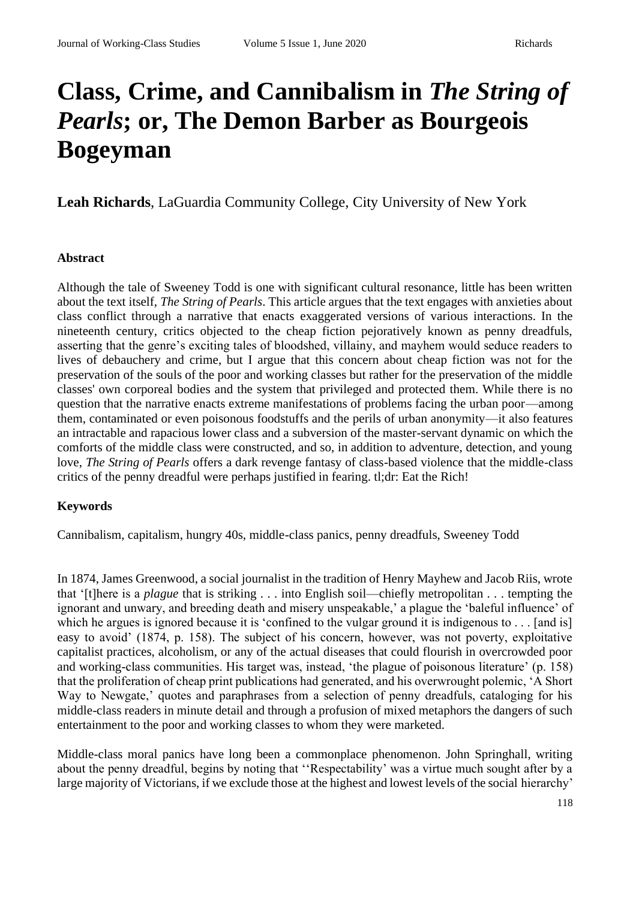# **Class, Crime, and Cannibalism in** *The String of Pearls***; or, The Demon Barber as Bourgeois Bogeyman**

**Leah Richards**, LaGuardia Community College, City University of New York

### **Abstract**

Although the tale of Sweeney Todd is one with significant cultural resonance, little has been written about the text itself, *The String of Pearls*. This article argues that the text engages with anxieties about class conflict through a narrative that enacts exaggerated versions of various interactions. In the nineteenth century, critics objected to the cheap fiction pejoratively known as penny dreadfuls, asserting that the genre's exciting tales of bloodshed, villainy, and mayhem would seduce readers to lives of debauchery and crime, but I argue that this concern about cheap fiction was not for the preservation of the souls of the poor and working classes but rather for the preservation of the middle classes' own corporeal bodies and the system that privileged and protected them. While there is no question that the narrative enacts extreme manifestations of problems facing the urban poor—among them, contaminated or even poisonous foodstuffs and the perils of urban anonymity—it also features an intractable and rapacious lower class and a subversion of the master-servant dynamic on which the comforts of the middle class were constructed, and so, in addition to adventure, detection, and young love, *The String of Pearls* offers a dark revenge fantasy of class-based violence that the middle-class critics of the penny dreadful were perhaps justified in fearing. tl;dr: Eat the Rich!

## **Keywords**

Cannibalism, capitalism, hungry 40s, middle-class panics, penny dreadfuls, Sweeney Todd

In 1874, James Greenwood, a social journalist in the tradition of Henry Mayhew and Jacob Riis, wrote that '[t]here is a *plague* that is striking . . . into English soil—chiefly metropolitan . . . tempting the ignorant and unwary, and breeding death and misery unspeakable,' a plague the 'baleful influence' of which he argues is ignored because it is 'confined to the vulgar ground it is indigenous to . . . [and is] easy to avoid' (1874, p. 158). The subject of his concern, however, was not poverty, exploitative capitalist practices, alcoholism, or any of the actual diseases that could flourish in overcrowded poor and working-class communities. His target was, instead, 'the plague of poisonous literature' (p. 158) that the proliferation of cheap print publications had generated, and his overwrought polemic, 'A Short Way to Newgate,' quotes and paraphrases from a selection of penny dreadfuls, cataloging for his middle-class readers in minute detail and through a profusion of mixed metaphors the dangers of such entertainment to the poor and working classes to whom they were marketed.

Middle-class moral panics have long been a commonplace phenomenon. John Springhall, writing about the penny dreadful, begins by noting that ''Respectability' was a virtue much sought after by a large majority of Victorians, if we exclude those at the highest and lowest levels of the social hierarchy'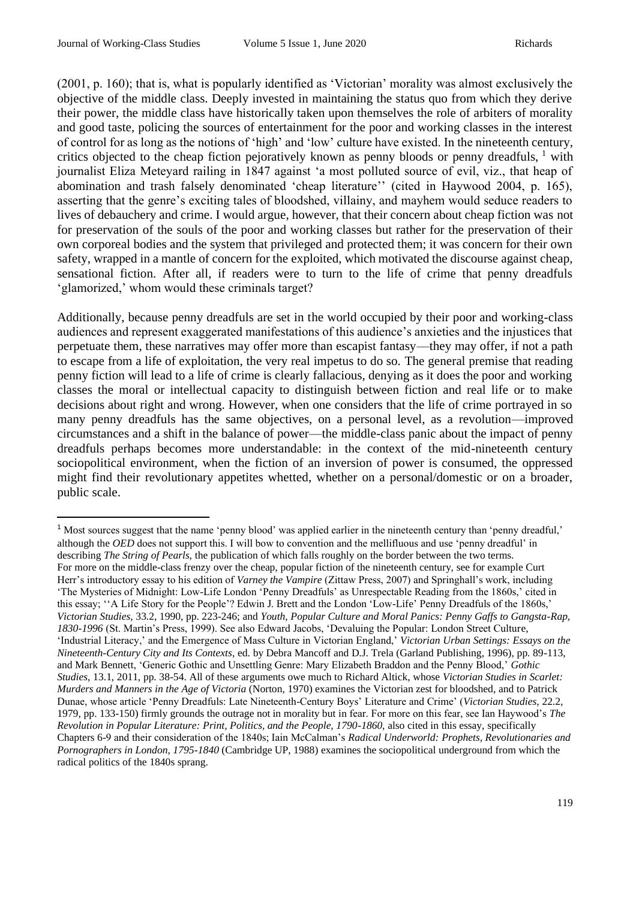(2001, p. 160); that is, what is popularly identified as 'Victorian' morality was almost exclusively the objective of the middle class. Deeply invested in maintaining the status quo from which they derive their power, the middle class have historically taken upon themselves the role of arbiters of morality and good taste, policing the sources of entertainment for the poor and working classes in the interest of control for as long as the notions of 'high' and 'low' culture have existed. In the nineteenth century, critics objected to the cheap fiction pejoratively known as penny bloods or penny dreadfuls,  $\frac{1}{1}$  with journalist Eliza Meteyard railing in 1847 against 'a most polluted source of evil, viz., that heap of abomination and trash falsely denominated 'cheap literature'' (cited in Haywood 2004, p. 165), asserting that the genre's exciting tales of bloodshed, villainy, and mayhem would seduce readers to lives of debauchery and crime. I would argue, however, that their concern about cheap fiction was not for preservation of the souls of the poor and working classes but rather for the preservation of their own corporeal bodies and the system that privileged and protected them; it was concern for their own safety, wrapped in a mantle of concern for the exploited, which motivated the discourse against cheap, sensational fiction. After all, if readers were to turn to the life of crime that penny dreadfuls 'glamorized,' whom would these criminals target?

Additionally, because penny dreadfuls are set in the world occupied by their poor and working-class audiences and represent exaggerated manifestations of this audience's anxieties and the injustices that perpetuate them, these narratives may offer more than escapist fantasy—they may offer, if not a path to escape from a life of exploitation, the very real impetus to do so. The general premise that reading penny fiction will lead to a life of crime is clearly fallacious, denying as it does the poor and working classes the moral or intellectual capacity to distinguish between fiction and real life or to make decisions about right and wrong. However, when one considers that the life of crime portrayed in so many penny dreadfuls has the same objectives, on a personal level, as a revolution—improved circumstances and a shift in the balance of power—the middle-class panic about the impact of penny dreadfuls perhaps becomes more understandable: in the context of the mid-nineteenth century sociopolitical environment, when the fiction of an inversion of power is consumed, the oppressed might find their revolutionary appetites whetted, whether on a personal/domestic or on a broader, public scale.

<sup>&</sup>lt;sup>1</sup> Most sources suggest that the name 'penny blood' was applied earlier in the nineteenth century than 'penny dreadful,' although the *OED* does not support this. I will bow to convention and the mellifluous and use 'penny dreadful' in describing *The String of Pearls*, the publication of which falls roughly on the border between the two terms. For more on the middle-class frenzy over the cheap, popular fiction of the nineteenth century, see for example Curt Herr's introductory essay to his edition of *Varney the Vampire* (Zittaw Press, 2007) and Springhall's work, including 'The Mysteries of Midnight: Low-Life London 'Penny Dreadfuls' as Unrespectable Reading from the 1860s,' cited in this essay; ''A Life Story for the People'? Edwin J. Brett and the London 'Low-Life' Penny Dreadfuls of the 1860s,' *Victorian Studies*, 33.2, 1990, pp. 223-246; and *Youth, Popular Culture and Moral Panics: Penny Gaffs to Gangsta-Rap, 1830-1996* (St. Martin's Press, 1999). See also Edward Jacobs, 'Devaluing the Popular: London Street Culture, 'Industrial Literacy,' and the Emergence of Mass Culture in Victorian England,' *Victorian Urban Settings: Essays on the Nineteenth-Century City and Its Contexts*, ed. by Debra Mancoff and D.J. Trela (Garland Publishing, 1996), pp. 89-113, and Mark Bennett, 'Generic Gothic and Unsettling Genre: Mary Elizabeth Braddon and the Penny Blood,' *Gothic Studies*, 13.1, 2011, pp. 38-54. All of these arguments owe much to Richard Altick, whose *Victorian Studies in Scarlet: Murders and Manners in the Age of Victoria* (Norton, 1970) examines the Victorian zest for bloodshed, and to Patrick Dunae, whose article 'Penny Dreadfuls: Late Nineteenth-Century Boys' Literature and Crime' (*Victorian Studies*, 22.2, 1979, pp. 133-150) firmly grounds the outrage not in morality but in fear. For more on this fear, see Ian Haywood's *The Revolution in Popular Literature: Print, Politics, and the People, 1790-1860*, also cited in this essay, specifically Chapters 6-9 and their consideration of the 1840s; Iain McCalman's *Radical Underworld: Prophets, Revolutionaries and Pornographers in London, 1795-1840* (Cambridge UP, 1988) examines the sociopolitical underground from which the radical politics of the 1840s sprang.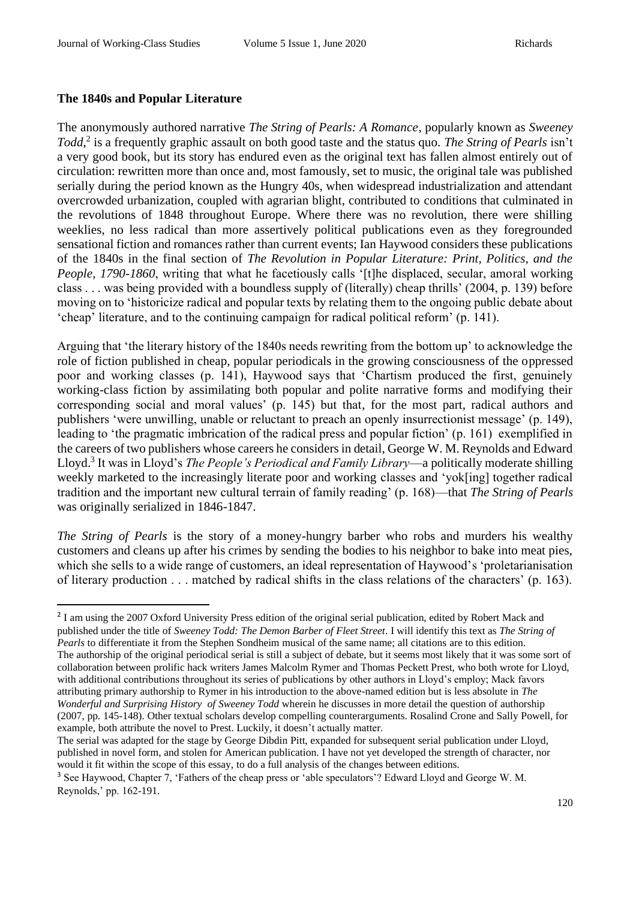#### **The 1840s and Popular Literature**

The anonymously authored narrative *The String of Pearls: A Romance*, popularly known as *Sweeney Todd*, 2 is a frequently graphic assault on both good taste and the status quo. *The String of Pearls* isn't a very good book, but its story has endured even as the original text has fallen almost entirely out of circulation: rewritten more than once and, most famously, set to music, the original tale was published serially during the period known as the Hungry 40s, when widespread industrialization and attendant overcrowded urbanization, coupled with agrarian blight, contributed to conditions that culminated in the revolutions of 1848 throughout Europe. Where there was no revolution, there were shilling weeklies, no less radical than more assertively political publications even as they foregrounded sensational fiction and romances rather than current events; Ian Haywood considers these publications of the 1840s in the final section of *The Revolution in Popular Literature: Print, Politics, and the People, 1790-1860*, writing that what he facetiously calls '[t]he displaced, secular, amoral working class . . . was being provided with a boundless supply of (literally) cheap thrills' (2004, p. 139) before moving on to 'historicize radical and popular texts by relating them to the ongoing public debate about 'cheap' literature, and to the continuing campaign for radical political reform' (p. 141).

Arguing that 'the literary history of the 1840s needs rewriting from the bottom up' to acknowledge the role of fiction published in cheap, popular periodicals in the growing consciousness of the oppressed poor and working classes (p. 141), Haywood says that 'Chartism produced the first, genuinely working-class fiction by assimilating both popular and polite narrative forms and modifying their corresponding social and moral values' (p. 145) but that, for the most part, radical authors and publishers 'were unwilling, unable or reluctant to preach an openly insurrectionist message' (p. 149), leading to 'the pragmatic imbrication of the radical press and popular fiction' (p. 161) exemplified in the careers of two publishers whose careers he considers in detail, George W. M. Reynolds and Edward Lloyd.<sup>3</sup> It was in Lloyd's *The People's Periodical and Family Library*—a politically moderate shilling weekly marketed to the increasingly literate poor and working classes and 'yok[ing] together radical tradition and the important new cultural terrain of family reading' (p. 168)—that *The String of Pearls* was originally serialized in 1846-1847.

*The String of Pearls* is the story of a money-hungry barber who robs and murders his wealthy customers and cleans up after his crimes by sending the bodies to his neighbor to bake into meat pies, which she sells to a wide range of customers, an ideal representation of Haywood's 'proletarianisation of literary production . . . matched by radical shifts in the class relations of the characters' (p. 163).

<sup>&</sup>lt;sup>2</sup> I am using the 2007 Oxford University Press edition of the original serial publication, edited by Robert Mack and published under the title of *Sweeney Todd: The Demon Barber of Fleet Street*. I will identify this text as *The String of Pearls* to differentiate it from the Stephen Sondheim musical of the same name; all citations are to this edition. The authorship of the original periodical serial is still a subject of debate, but it seems most likely that it was some sort of collaboration between prolific hack writers James Malcolm Rymer and Thomas Peckett Prest, who both wrote for Lloyd, with additional contributions throughout its series of publications by other authors in Lloyd's employ; Mack favors attributing primary authorship to Rymer in his introduction to the above-named edition but is less absolute in *The Wonderful and Surprising History of Sweeney Todd* wherein he discusses in more detail the question of authorship (2007, pp. 145-148). Other textual scholars develop compelling counterarguments. Rosalind Crone and Sally Powell, for example, both attribute the novel to Prest. Luckily, it doesn't actually matter.

The serial was adapted for the stage by George Dibdin Pitt, expanded for subsequent serial publication under Lloyd, published in novel form, and stolen for American publication. I have not yet developed the strength of character, nor would it fit within the scope of this essay, to do a full analysis of the changes between editions.

<sup>3</sup> See Haywood, Chapter 7, 'Fathers of the cheap press or 'able speculators'? Edward Lloyd and George W. M. Reynolds,' pp. 162-191.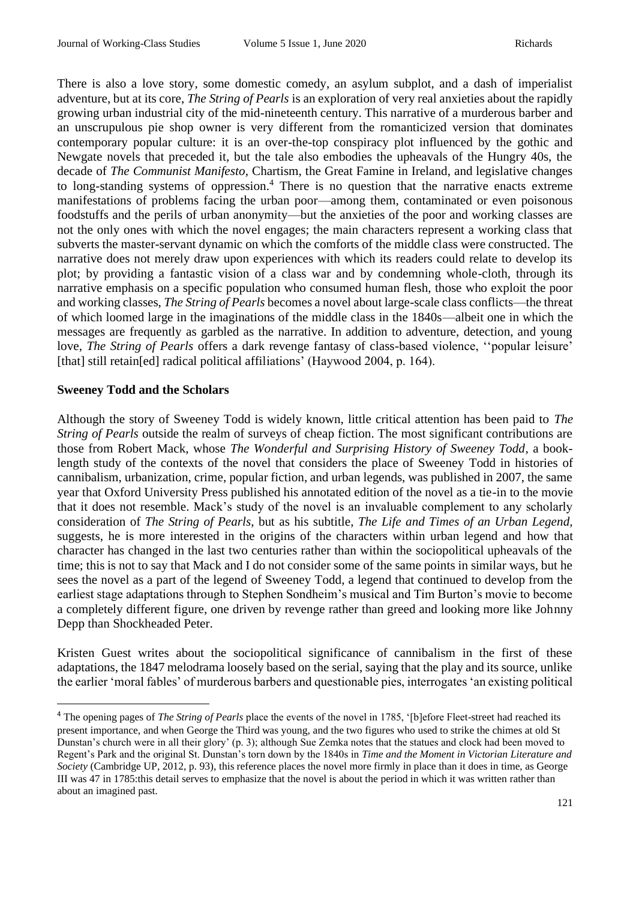There is also a love story, some domestic comedy, an asylum subplot, and a dash of imperialist adventure, but at its core, *The String of Pearls* is an exploration of very real anxieties about the rapidly growing urban industrial city of the mid-nineteenth century. This narrative of a murderous barber and an unscrupulous pie shop owner is very different from the romanticized version that dominates contemporary popular culture: it is an over-the-top conspiracy plot influenced by the gothic and Newgate novels that preceded it, but the tale also embodies the upheavals of the Hungry 40s, the decade of *The Communist Manifesto*, Chartism, the Great Famine in Ireland, and legislative changes to long-standing systems of oppression.<sup>4</sup> There is no question that the narrative enacts extreme manifestations of problems facing the urban poor—among them, contaminated or even poisonous foodstuffs and the perils of urban anonymity—but the anxieties of the poor and working classes are not the only ones with which the novel engages; the main characters represent a working class that subverts the master-servant dynamic on which the comforts of the middle class were constructed. The narrative does not merely draw upon experiences with which its readers could relate to develop its plot; by providing a fantastic vision of a class war and by condemning whole-cloth, through its narrative emphasis on a specific population who consumed human flesh, those who exploit the poor and working classes, *The String of Pearls* becomes a novel about large-scale class conflicts—the threat of which loomed large in the imaginations of the middle class in the 1840s—albeit one in which the messages are frequently as garbled as the narrative. In addition to adventure, detection, and young love, *The String of Pearls* offers a dark revenge fantasy of class-based violence, ''popular leisure' [that] still retain[ed] radical political affiliations' (Haywood 2004, p. 164).

### **Sweeney Todd and the Scholars**

Although the story of Sweeney Todd is widely known, little critical attention has been paid to *The String of Pearls* outside the realm of surveys of cheap fiction. The most significant contributions are those from Robert Mack, whose *The Wonderful and Surprising History of Sweeney Todd*, a booklength study of the contexts of the novel that considers the place of Sweeney Todd in histories of cannibalism, urbanization, crime, popular fiction, and urban legends, was published in 2007, the same year that Oxford University Press published his annotated edition of the novel as a tie-in to the movie that it does not resemble. Mack's study of the novel is an invaluable complement to any scholarly consideration of *The String of Pearls*, but as his subtitle, *The Life and Times of an Urban Legend,* suggests, he is more interested in the origins of the characters within urban legend and how that character has changed in the last two centuries rather than within the sociopolitical upheavals of the time; this is not to say that Mack and I do not consider some of the same points in similar ways, but he sees the novel as a part of the legend of Sweeney Todd, a legend that continued to develop from the earliest stage adaptations through to Stephen Sondheim's musical and Tim Burton's movie to become a completely different figure, one driven by revenge rather than greed and looking more like Johnny Depp than Shockheaded Peter.

Kristen Guest writes about the sociopolitical significance of cannibalism in the first of these adaptations, the 1847 melodrama loosely based on the serial, saying that the play and its source, unlike the earlier 'moral fables' of murderous barbers and questionable pies, interrogates 'an existing political

<sup>&</sup>lt;sup>4</sup> The opening pages of *The String of Pearls* place the events of the novel in 1785, '[b]efore Fleet-street had reached its present importance, and when George the Third was young, and the two figures who used to strike the chimes at old St Dunstan's church were in all their glory' (p. 3); although Sue Zemka notes that the statues and clock had been moved to Regent's Park and the original St. Dunstan's torn down by the 1840s in *Time and the Moment in Victorian Literature and Society* (Cambridge UP, 2012, p. 93), this reference places the novel more firmly in place than it does in time, as George III was 47 in 1785:this detail serves to emphasize that the novel is about the period in which it was written rather than about an imagined past.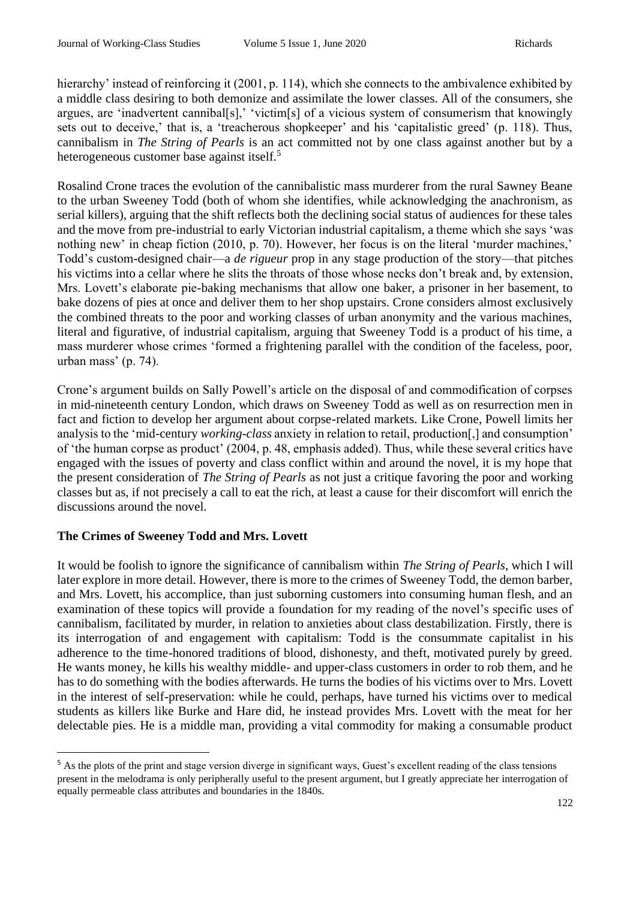hierarchy' instead of reinforcing it (2001, p. 114), which she connects to the ambivalence exhibited by a middle class desiring to both demonize and assimilate the lower classes. All of the consumers, she argues, are 'inadvertent cannibal[s],' 'victim[s] of a vicious system of consumerism that knowingly sets out to deceive,' that is, a 'treacherous shopkeeper' and his 'capitalistic greed' (p. 118). Thus, cannibalism in *The String of Pearls* is an act committed not by one class against another but by a heterogeneous customer base against itself.<sup>5</sup>

Rosalind Crone traces the evolution of the cannibalistic mass murderer from the rural Sawney Beane to the urban Sweeney Todd (both of whom she identifies, while acknowledging the anachronism, as serial killers), arguing that the shift reflects both the declining social status of audiences for these tales and the move from pre-industrial to early Victorian industrial capitalism, a theme which she says 'was nothing new' in cheap fiction (2010, p. 70). However, her focus is on the literal 'murder machines,' Todd's custom-designed chair—a *de rigueur* prop in any stage production of the story—that pitches his victims into a cellar where he slits the throats of those whose necks don't break and, by extension, Mrs. Lovett's elaborate pie-baking mechanisms that allow one baker, a prisoner in her basement, to bake dozens of pies at once and deliver them to her shop upstairs. Crone considers almost exclusively the combined threats to the poor and working classes of urban anonymity and the various machines, literal and figurative, of industrial capitalism, arguing that Sweeney Todd is a product of his time, a mass murderer whose crimes 'formed a frightening parallel with the condition of the faceless, poor, urban mass' (p. 74).

Crone's argument builds on Sally Powell's article on the disposal of and commodification of corpses in mid-nineteenth century London, which draws on Sweeney Todd as well as on resurrection men in fact and fiction to develop her argument about corpse-related markets. Like Crone, Powell limits her analysis to the 'mid-century *working-class* anxiety in relation to retail, production[,] and consumption' of 'the human corpse as product' (2004, p. 48, emphasis added). Thus, while these several critics have engaged with the issues of poverty and class conflict within and around the novel, it is my hope that the present consideration of *The String of Pearls* as not just a critique favoring the poor and working classes but as, if not precisely a call to eat the rich, at least a cause for their discomfort will enrich the discussions around the novel.

### **The Crimes of Sweeney Todd and Mrs. Lovett**

It would be foolish to ignore the significance of cannibalism within *The String of Pearls*, which I will later explore in more detail. However, there is more to the crimes of Sweeney Todd, the demon barber, and Mrs. Lovett, his accomplice, than just suborning customers into consuming human flesh, and an examination of these topics will provide a foundation for my reading of the novel's specific uses of cannibalism, facilitated by murder, in relation to anxieties about class destabilization. Firstly, there is its interrogation of and engagement with capitalism: Todd is the consummate capitalist in his adherence to the time-honored traditions of blood, dishonesty, and theft, motivated purely by greed. He wants money, he kills his wealthy middle- and upper-class customers in order to rob them, and he has to do something with the bodies afterwards. He turns the bodies of his victims over to Mrs. Lovett in the interest of self-preservation: while he could, perhaps, have turned his victims over to medical students as killers like Burke and Hare did, he instead provides Mrs. Lovett with the meat for her delectable pies. He is a middle man, providing a vital commodity for making a consumable product

<sup>&</sup>lt;sup>5</sup> As the plots of the print and stage version diverge in significant ways, Guest's excellent reading of the class tensions present in the melodrama is only peripherally useful to the present argument, but I greatly appreciate her interrogation of equally permeable class attributes and boundaries in the 1840s.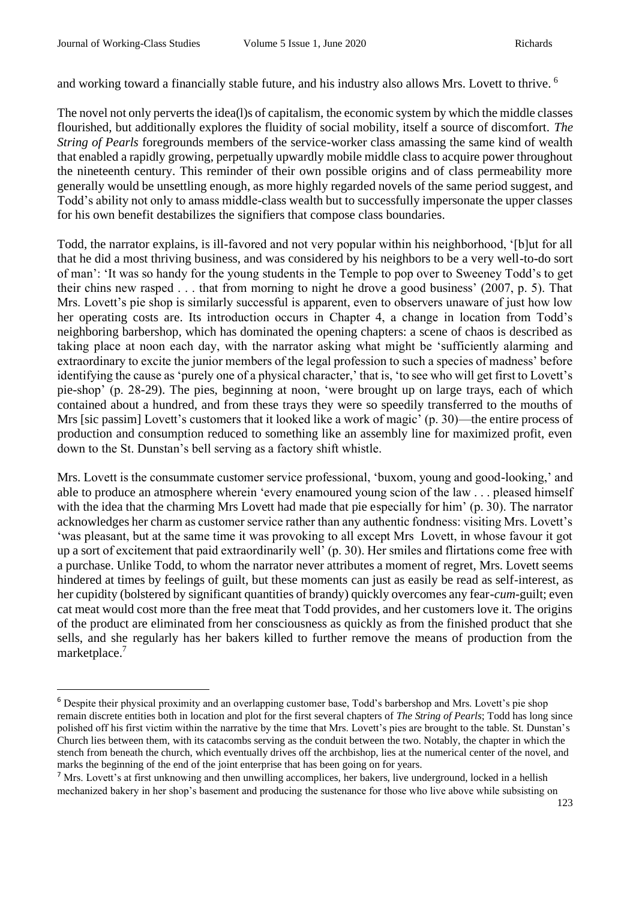and working toward a financially stable future, and his industry also allows Mrs. Lovett to thrive.<sup>6</sup>

The novel not only perverts the idea(l)s of capitalism, the economic system by which the middle classes flourished, but additionally explores the fluidity of social mobility, itself a source of discomfort. *The String of Pearls* foregrounds members of the service-worker class amassing the same kind of wealth that enabled a rapidly growing, perpetually upwardly mobile middle class to acquire power throughout the nineteenth century. This reminder of their own possible origins and of class permeability more generally would be unsettling enough, as more highly regarded novels of the same period suggest, and Todd's ability not only to amass middle-class wealth but to successfully impersonate the upper classes for his own benefit destabilizes the signifiers that compose class boundaries.

Todd, the narrator explains, is ill-favored and not very popular within his neighborhood, '[b]ut for all that he did a most thriving business, and was considered by his neighbors to be a very well-to-do sort of man': 'It was so handy for the young students in the Temple to pop over to Sweeney Todd's to get their chins new rasped . . . that from morning to night he drove a good business' (2007, p. 5). That Mrs. Lovett's pie shop is similarly successful is apparent, even to observers unaware of just how low her operating costs are. Its introduction occurs in Chapter 4, a change in location from Todd's neighboring barbershop, which has dominated the opening chapters: a scene of chaos is described as taking place at noon each day, with the narrator asking what might be 'sufficiently alarming and extraordinary to excite the junior members of the legal profession to such a species of madness' before identifying the cause as 'purely one of a physical character,' that is, 'to see who will get first to Lovett's pie-shop' (p. 28-29). The pies, beginning at noon, 'were brought up on large trays, each of which contained about a hundred, and from these trays they were so speedily transferred to the mouths of Mrs [sic passim] Lovett's customers that it looked like a work of magic' (p. 30)—the entire process of production and consumption reduced to something like an assembly line for maximized profit, even down to the St. Dunstan's bell serving as a factory shift whistle.

Mrs. Lovett is the consummate customer service professional, 'buxom, young and good-looking,' and able to produce an atmosphere wherein 'every enamoured young scion of the law . . . pleased himself with the idea that the charming Mrs Lovett had made that pie especially for him' (p. 30). The narrator acknowledges her charm as customer service rather than any authentic fondness: visiting Mrs. Lovett's 'was pleasant, but at the same time it was provoking to all except Mrs Lovett, in whose favour it got up a sort of excitement that paid extraordinarily well' (p. 30). Her smiles and flirtations come free with a purchase. Unlike Todd, to whom the narrator never attributes a moment of regret, Mrs. Lovett seems hindered at times by feelings of guilt, but these moments can just as easily be read as self-interest, as her cupidity (bolstered by significant quantities of brandy) quickly overcomes any fear-*cum*-guilt; even cat meat would cost more than the free meat that Todd provides, and her customers love it. The origins of the product are eliminated from her consciousness as quickly as from the finished product that she sells, and she regularly has her bakers killed to further remove the means of production from the marketplace.<sup>7</sup>

<sup>&</sup>lt;sup>6</sup> Despite their physical proximity and an overlapping customer base, Todd's barbershop and Mrs. Lovett's pie shop remain discrete entities both in location and plot for the first several chapters of *The String of Pearls*; Todd has long since polished off his first victim within the narrative by the time that Mrs. Lovett's pies are brought to the table. St. Dunstan's Church lies between them, with its catacombs serving as the conduit between the two. Notably, the chapter in which the stench from beneath the church, which eventually drives off the archbishop, lies at the numerical center of the novel, and marks the beginning of the end of the joint enterprise that has been going on for years.

<sup>&</sup>lt;sup>7</sup> Mrs. Lovett's at first unknowing and then unwilling accomplices, her bakers, live underground, locked in a hellish mechanized bakery in her shop's basement and producing the sustenance for those who live above while subsisting on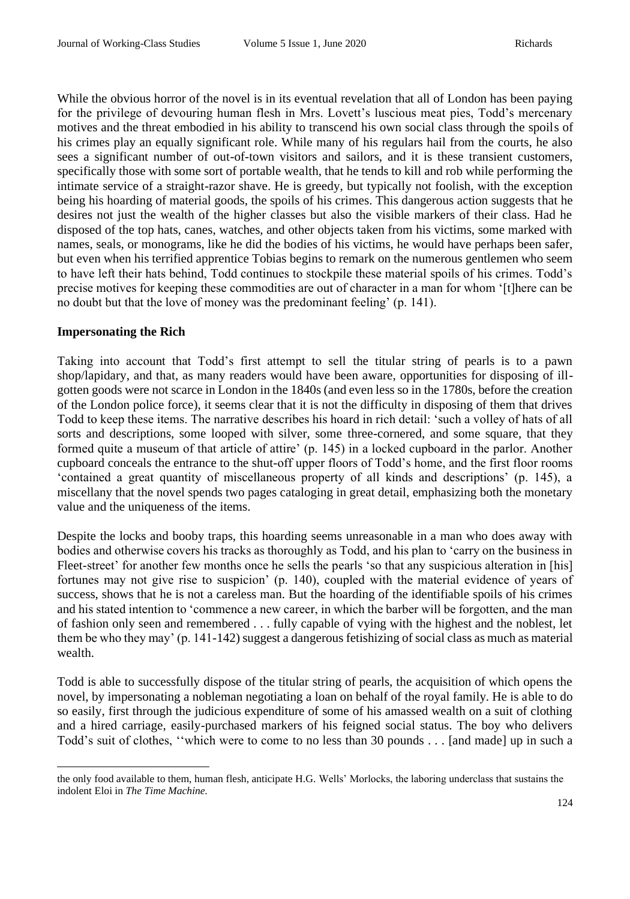While the obvious horror of the novel is in its eventual revelation that all of London has been paying for the privilege of devouring human flesh in Mrs. Lovett's luscious meat pies, Todd's mercenary motives and the threat embodied in his ability to transcend his own social class through the spoils of his crimes play an equally significant role. While many of his regulars hail from the courts, he also sees a significant number of out-of-town visitors and sailors, and it is these transient customers, specifically those with some sort of portable wealth, that he tends to kill and rob while performing the intimate service of a straight-razor shave. He is greedy, but typically not foolish, with the exception being his hoarding of material goods, the spoils of his crimes. This dangerous action suggests that he desires not just the wealth of the higher classes but also the visible markers of their class. Had he disposed of the top hats, canes, watches, and other objects taken from his victims, some marked with names, seals, or monograms, like he did the bodies of his victims, he would have perhaps been safer, but even when his terrified apprentice Tobias begins to remark on the numerous gentlemen who seem to have left their hats behind, Todd continues to stockpile these material spoils of his crimes. Todd's precise motives for keeping these commodities are out of character in a man for whom '[t]here can be no doubt but that the love of money was the predominant feeling' (p. 141).

### **Impersonating the Rich**

Taking into account that Todd's first attempt to sell the titular string of pearls is to a pawn shop/lapidary, and that, as many readers would have been aware, opportunities for disposing of illgotten goods were not scarce in London in the 1840s (and even less so in the 1780s, before the creation of the London police force), it seems clear that it is not the difficulty in disposing of them that drives Todd to keep these items. The narrative describes his hoard in rich detail: 'such a volley of hats of all sorts and descriptions, some looped with silver, some three-cornered, and some square, that they formed quite a museum of that article of attire' (p. 145) in a locked cupboard in the parlor. Another cupboard conceals the entrance to the shut-off upper floors of Todd's home, and the first floor rooms 'contained a great quantity of miscellaneous property of all kinds and descriptions' (p. 145), a miscellany that the novel spends two pages cataloging in great detail, emphasizing both the monetary value and the uniqueness of the items.

Despite the locks and booby traps, this hoarding seems unreasonable in a man who does away with bodies and otherwise covers his tracks as thoroughly as Todd, and his plan to 'carry on the business in Fleet-street' for another few months once he sells the pearls 'so that any suspicious alteration in [his] fortunes may not give rise to suspicion' (p. 140), coupled with the material evidence of years of success, shows that he is not a careless man. But the hoarding of the identifiable spoils of his crimes and his stated intention to 'commence a new career, in which the barber will be forgotten, and the man of fashion only seen and remembered . . . fully capable of vying with the highest and the noblest, let them be who they may' (p. 141-142) suggest a dangerous fetishizing of social class as much as material wealth.

Todd is able to successfully dispose of the titular string of pearls, the acquisition of which opens the novel, by impersonating a nobleman negotiating a loan on behalf of the royal family. He is able to do so easily, first through the judicious expenditure of some of his amassed wealth on a suit of clothing and a hired carriage, easily-purchased markers of his feigned social status. The boy who delivers Todd's suit of clothes, ''which were to come to no less than 30 pounds . . . [and made] up in such a

the only food available to them, human flesh, anticipate H.G. Wells' Morlocks, the laboring underclass that sustains the indolent Eloi in *The Time Machine.*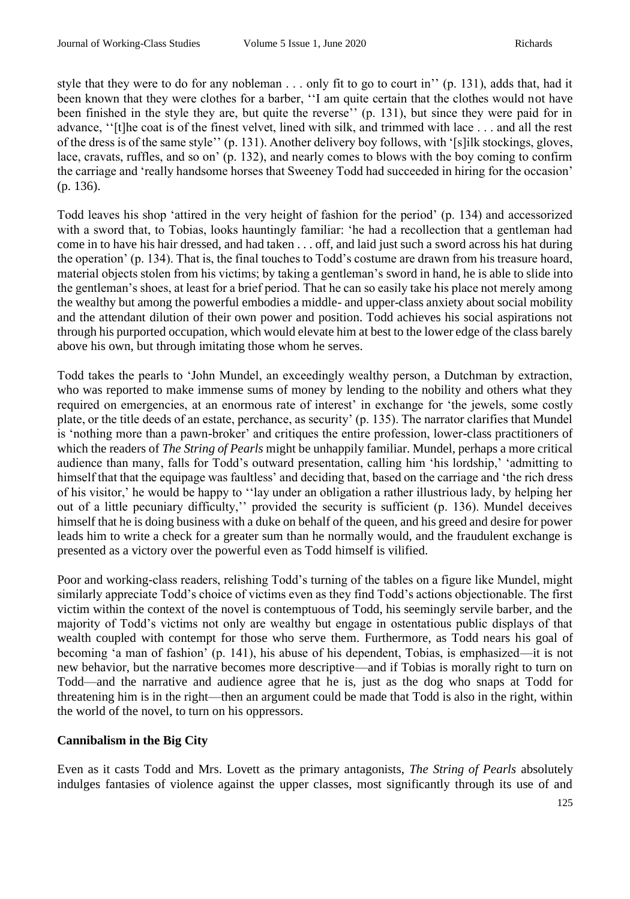style that they were to do for any nobleman . . . only fit to go to court in'' (p. 131), adds that, had it been known that they were clothes for a barber, ''I am quite certain that the clothes would not have been finished in the style they are, but quite the reverse'' (p. 131), but since they were paid for in advance, ''[t]he coat is of the finest velvet, lined with silk, and trimmed with lace . . . and all the rest of the dress is of the same style'' (p. 131). Another delivery boy follows, with '[s]ilk stockings, gloves, lace, cravats, ruffles, and so on' (p. 132), and nearly comes to blows with the boy coming to confirm the carriage and 'really handsome horses that Sweeney Todd had succeeded in hiring for the occasion' (p. 136).

Todd leaves his shop 'attired in the very height of fashion for the period' (p. 134) and accessorized with a sword that, to Tobias, looks hauntingly familiar: 'he had a recollection that a gentleman had come in to have his hair dressed, and had taken . . . off, and laid just such a sword across his hat during the operation' (p. 134). That is, the final touches to Todd's costume are drawn from his treasure hoard, material objects stolen from his victims; by taking a gentleman's sword in hand, he is able to slide into the gentleman's shoes, at least for a brief period. That he can so easily take his place not merely among the wealthy but among the powerful embodies a middle- and upper-class anxiety about social mobility and the attendant dilution of their own power and position. Todd achieves his social aspirations not through his purported occupation, which would elevate him at best to the lower edge of the class barely above his own, but through imitating those whom he serves.

Todd takes the pearls to 'John Mundel, an exceedingly wealthy person, a Dutchman by extraction, who was reported to make immense sums of money by lending to the nobility and others what they required on emergencies, at an enormous rate of interest' in exchange for 'the jewels, some costly plate, or the title deeds of an estate, perchance, as security' (p. 135). The narrator clarifies that Mundel is 'nothing more than a pawn-broker' and critiques the entire profession, lower-class practitioners of which the readers of *The String of Pearls* might be unhappily familiar. Mundel, perhaps a more critical audience than many, falls for Todd's outward presentation, calling him 'his lordship,' 'admitting to himself that that the equipage was faultless' and deciding that, based on the carriage and 'the rich dress of his visitor,' he would be happy to ''lay under an obligation a rather illustrious lady, by helping her out of a little pecuniary difficulty,'' provided the security is sufficient (p. 136). Mundel deceives himself that he is doing business with a duke on behalf of the queen, and his greed and desire for power leads him to write a check for a greater sum than he normally would, and the fraudulent exchange is presented as a victory over the powerful even as Todd himself is vilified.

Poor and working-class readers, relishing Todd's turning of the tables on a figure like Mundel, might similarly appreciate Todd's choice of victims even as they find Todd's actions objectionable. The first victim within the context of the novel is contemptuous of Todd, his seemingly servile barber, and the majority of Todd's victims not only are wealthy but engage in ostentatious public displays of that wealth coupled with contempt for those who serve them. Furthermore, as Todd nears his goal of becoming 'a man of fashion' (p. 141), his abuse of his dependent, Tobias, is emphasized—it is not new behavior, but the narrative becomes more descriptive—and if Tobias is morally right to turn on Todd—and the narrative and audience agree that he is, just as the dog who snaps at Todd for threatening him is in the right—then an argument could be made that Todd is also in the right, within the world of the novel, to turn on his oppressors.

## **Cannibalism in the Big City**

Even as it casts Todd and Mrs. Lovett as the primary antagonists, *The String of Pearls* absolutely indulges fantasies of violence against the upper classes, most significantly through its use of and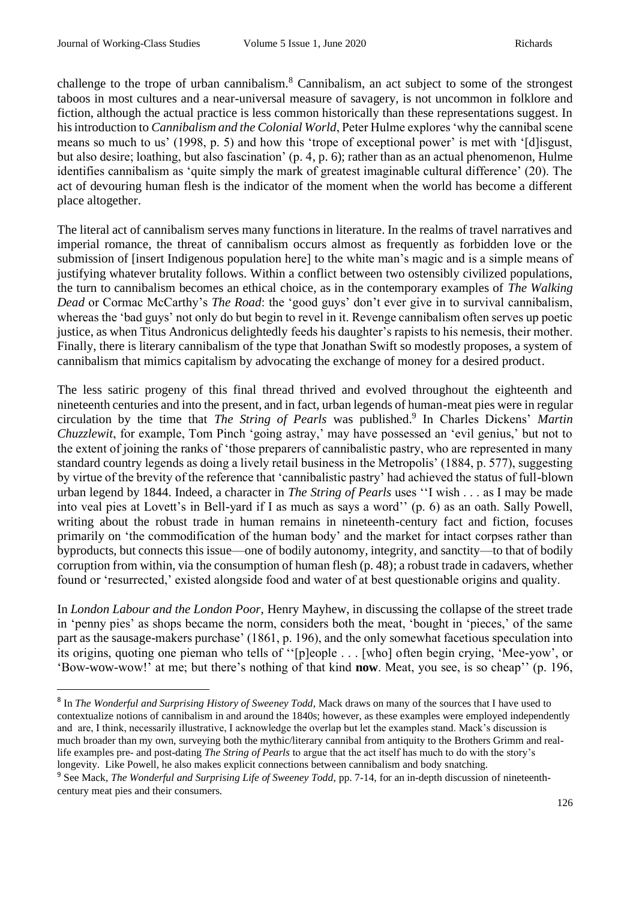challenge to the trope of urban cannibalism.<sup>8</sup> Cannibalism, an act subject to some of the strongest taboos in most cultures and a near-universal measure of savagery, is not uncommon in folklore and fiction, although the actual practice is less common historically than these representations suggest. In his introduction to *Cannibalism and the Colonial World*, Peter Hulme explores 'why the cannibal scene means so much to us' (1998, p. 5) and how this 'trope of exceptional power' is met with '[d]isgust, but also desire; loathing, but also fascination' (p. 4, p. 6); rather than as an actual phenomenon, Hulme identifies cannibalism as 'quite simply the mark of greatest imaginable cultural difference' (20). The act of devouring human flesh is the indicator of the moment when the world has become a different place altogether.

The literal act of cannibalism serves many functions in literature. In the realms of travel narratives and imperial romance, the threat of cannibalism occurs almost as frequently as forbidden love or the submission of [insert Indigenous population here] to the white man's magic and is a simple means of justifying whatever brutality follows. Within a conflict between two ostensibly civilized populations, the turn to cannibalism becomes an ethical choice, as in the contemporary examples of *The Walking Dead* or Cormac McCarthy's *The Road*: the 'good guys' don't ever give in to survival cannibalism, whereas the 'bad guys' not only do but begin to revel in it. Revenge cannibalism often serves up poetic justice, as when Titus Andronicus delightedly feeds his daughter's rapists to his nemesis, their mother. Finally, there is literary cannibalism of the type that Jonathan Swift so modestly proposes, a system of cannibalism that mimics capitalism by advocating the exchange of money for a desired product.

The less satiric progeny of this final thread thrived and evolved throughout the eighteenth and nineteenth centuries and into the present, and in fact, urban legends of human-meat pies were in regular circulation by the time that *The String of Pearls* was published.<sup>9</sup> In Charles Dickens' Martin *Chuzzlewit*, for example, Tom Pinch 'going astray,' may have possessed an 'evil genius,' but not to the extent of joining the ranks of 'those preparers of cannibalistic pastry, who are represented in many standard country legends as doing a lively retail business in the Metropolis' (1884, p. 577), suggesting by virtue of the brevity of the reference that 'cannibalistic pastry' had achieved the status of full-blown urban legend by 1844. Indeed, a character in *The String of Pearls* uses ''I wish . . . as I may be made into veal pies at Lovett's in Bell-yard if I as much as says a word'' (p. 6) as an oath. Sally Powell, writing about the robust trade in human remains in nineteenth-century fact and fiction, focuses primarily on 'the commodification of the human body' and the market for intact corpses rather than byproducts, but connects this issue—one of bodily autonomy, integrity, and sanctity—to that of bodily corruption from within, via the consumption of human flesh (p. 48); a robust trade in cadavers, whether found or 'resurrected,' existed alongside food and water of at best questionable origins and quality.

In *London Labour and the London Poor*, Henry Mayhew, in discussing the collapse of the street trade in 'penny pies' as shops became the norm, considers both the meat, 'bought in 'pieces,' of the same part as the sausage-makers purchase' (1861, p. 196), and the only somewhat facetious speculation into its origins, quoting one pieman who tells of ''[p]eople . . . [who] often begin crying, 'Mee-yow', or 'Bow-wow-wow!' at me; but there's nothing of that kind **now**. Meat, you see, is so cheap'' (p. 196,

<sup>8</sup> In *The Wonderful and Surprising History of Sweeney Todd*, Mack draws on many of the sources that I have used to contextualize notions of cannibalism in and around the 1840s; however, as these examples were employed independently and are, I think, necessarily illustrative, I acknowledge the overlap but let the examples stand. Mack's discussion is much broader than my own, surveying both the mythic/literary cannibal from antiquity to the Brothers Grimm and reallife examples pre- and post-dating *The String of Pearls* to argue that the act itself has much to do with the story's longevity. Like Powell, he also makes explicit connections between cannibalism and body snatching.

<sup>&</sup>lt;sup>9</sup> See Mack, *The Wonderful and Surprising Life of Sweeney Todd*, pp. 7-14, for an in-depth discussion of nineteenthcentury meat pies and their consumers.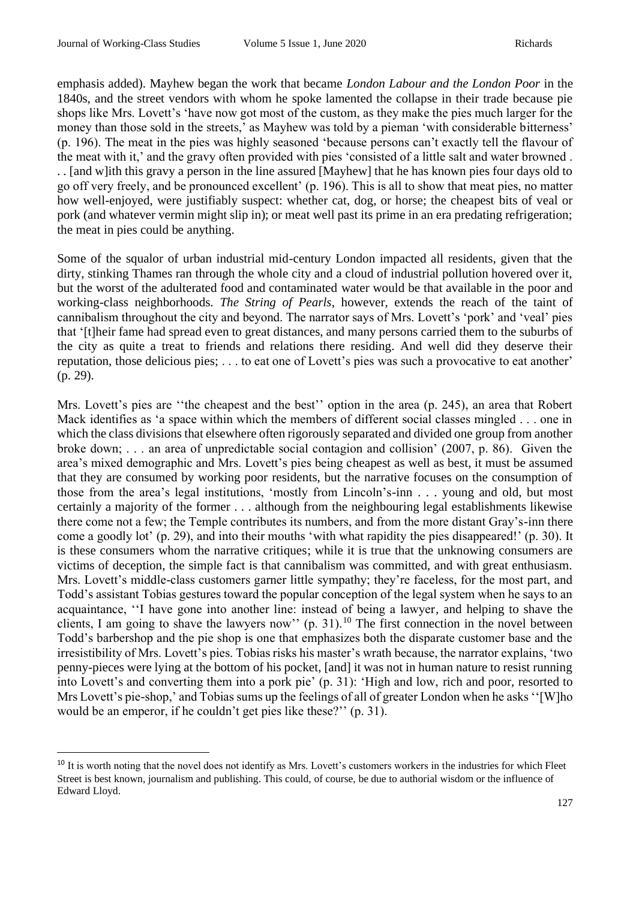emphasis added). Mayhew began the work that became *London Labour and the London Poor* in the 1840s, and the street vendors with whom he spoke lamented the collapse in their trade because pie shops like Mrs. Lovett's 'have now got most of the custom, as they make the pies much larger for the money than those sold in the streets,' as Mayhew was told by a pieman 'with considerable bitterness' (p. 196). The meat in the pies was highly seasoned 'because persons can't exactly tell the flavour of the meat with it,' and the gravy often provided with pies 'consisted of a little salt and water browned . . . [and w]ith this gravy a person in the line assured [Mayhew] that he has known pies four days old to go off very freely, and be pronounced excellent' (p. 196). This is all to show that meat pies, no matter how well-enjoyed, were justifiably suspect: whether cat, dog, or horse; the cheapest bits of veal or pork (and whatever vermin might slip in); or meat well past its prime in an era predating refrigeration; the meat in pies could be anything.

Some of the squalor of urban industrial mid-century London impacted all residents, given that the dirty, stinking Thames ran through the whole city and a cloud of industrial pollution hovered over it, but the worst of the adulterated food and contaminated water would be that available in the poor and working-class neighborhoods. *The String of Pearls*, however, extends the reach of the taint of cannibalism throughout the city and beyond. The narrator says of Mrs. Lovett's 'pork' and 'veal' pies that '[t]heir fame had spread even to great distances, and many persons carried them to the suburbs of the city as quite a treat to friends and relations there residing. And well did they deserve their reputation, those delicious pies; . . . to eat one of Lovett's pies was such a provocative to eat another' (p. 29).

Mrs. Lovett's pies are ''the cheapest and the best'' option in the area (p. 245), an area that Robert Mack identifies as 'a space within which the members of different social classes mingled . . . one in which the class divisions that elsewhere often rigorously separated and divided one group from another broke down; . . . an area of unpredictable social contagion and collision' (2007, p. 86). Given the area's mixed demographic and Mrs. Lovett's pies being cheapest as well as best, it must be assumed that they are consumed by working poor residents, but the narrative focuses on the consumption of those from the area's legal institutions, 'mostly from Lincoln's-inn . . . young and old, but most certainly a majority of the former . . . although from the neighbouring legal establishments likewise there come not a few; the Temple contributes its numbers, and from the more distant Gray's-inn there come a goodly lot' (p. 29), and into their mouths 'with what rapidity the pies disappeared!' (p. 30). It is these consumers whom the narrative critiques; while it is true that the unknowing consumers are victims of deception, the simple fact is that cannibalism was committed, and with great enthusiasm. Mrs. Lovett's middle-class customers garner little sympathy; they're faceless, for the most part, and Todd's assistant Tobias gestures toward the popular conception of the legal system when he says to an acquaintance, ''I have gone into another line: instead of being a lawyer, and helping to shave the clients, I am going to shave the lawyers now"  $(p. 31)$ .<sup>10</sup> The first connection in the novel between Todd's barbershop and the pie shop is one that emphasizes both the disparate customer base and the irresistibility of Mrs. Lovett's pies. Tobias risks his master's wrath because, the narrator explains, 'two penny-pieces were lying at the bottom of his pocket, [and] it was not in human nature to resist running into Lovett's and converting them into a pork pie' (p. 31): 'High and low, rich and poor, resorted to Mrs Lovett's pie-shop,' and Tobias sums up the feelings of all of greater London when he asks ''[W]ho would be an emperor, if he couldn't get pies like these?'' (p. 31).

<sup>&</sup>lt;sup>10</sup> It is worth noting that the novel does not identify as Mrs. Lovett's customers workers in the industries for which Fleet Street is best known, journalism and publishing. This could, of course, be due to authorial wisdom or the influence of Edward Lloyd.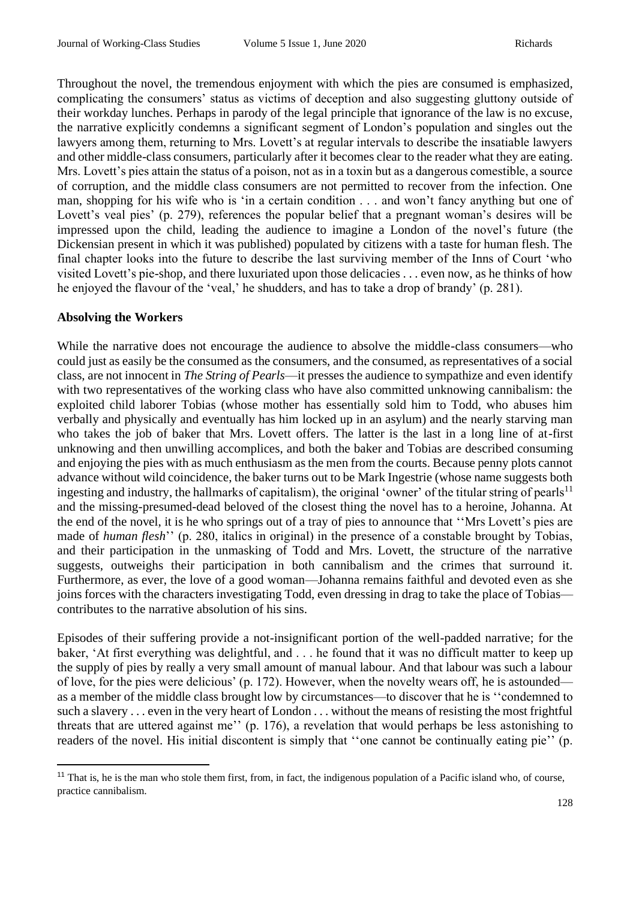Throughout the novel, the tremendous enjoyment with which the pies are consumed is emphasized, complicating the consumers' status as victims of deception and also suggesting gluttony outside of their workday lunches. Perhaps in parody of the legal principle that ignorance of the law is no excuse, the narrative explicitly condemns a significant segment of London's population and singles out the lawyers among them, returning to Mrs. Lovett's at regular intervals to describe the insatiable lawyers and other middle-class consumers, particularly after it becomes clear to the reader what they are eating. Mrs. Lovett's pies attain the status of a poison, not as in a toxin but as a dangerous comestible, a source of corruption, and the middle class consumers are not permitted to recover from the infection. One man, shopping for his wife who is 'in a certain condition . . . and won't fancy anything but one of Lovett's veal pies' (p. 279), references the popular belief that a pregnant woman's desires will be impressed upon the child, leading the audience to imagine a London of the novel's future (the Dickensian present in which it was published) populated by citizens with a taste for human flesh. The final chapter looks into the future to describe the last surviving member of the Inns of Court 'who visited Lovett's pie-shop, and there luxuriated upon those delicacies . . . even now, as he thinks of how he enjoyed the flavour of the 'veal,' he shudders, and has to take a drop of brandy' (p. 281).

### **Absolving the Workers**

While the narrative does not encourage the audience to absolve the middle-class consumers—who could just as easily be the consumed as the consumers, and the consumed, as representatives of a social class, are not innocent in *The String of Pearls*—it presses the audience to sympathize and even identify with two representatives of the working class who have also committed unknowing cannibalism: the exploited child laborer Tobias (whose mother has essentially sold him to Todd, who abuses him verbally and physically and eventually has him locked up in an asylum) and the nearly starving man who takes the job of baker that Mrs. Lovett offers. The latter is the last in a long line of at-first unknowing and then unwilling accomplices, and both the baker and Tobias are described consuming and enjoying the pies with as much enthusiasm as the men from the courts. Because penny plots cannot advance without wild coincidence, the baker turns out to be Mark Ingestrie (whose name suggests both ingesting and industry, the hallmarks of capitalism), the original 'owner' of the titular string of pearls<sup>11</sup> and the missing-presumed-dead beloved of the closest thing the novel has to a heroine, Johanna. At the end of the novel, it is he who springs out of a tray of pies to announce that ''Mrs Lovett's pies are made of *human flesh*'' (p. 280, italics in original) in the presence of a constable brought by Tobias, and their participation in the unmasking of Todd and Mrs. Lovett, the structure of the narrative suggests, outweighs their participation in both cannibalism and the crimes that surround it. Furthermore, as ever, the love of a good woman—Johanna remains faithful and devoted even as she joins forces with the characters investigating Todd, even dressing in drag to take the place of Tobias contributes to the narrative absolution of his sins.

Episodes of their suffering provide a not-insignificant portion of the well-padded narrative; for the baker, 'At first everything was delightful, and . . . he found that it was no difficult matter to keep up the supply of pies by really a very small amount of manual labour. And that labour was such a labour of love, for the pies were delicious' (p. 172). However, when the novelty wears off, he is astounded as a member of the middle class brought low by circumstances—to discover that he is ''condemned to such a slavery . . . even in the very heart of London . . . without the means of resisting the most frightful threats that are uttered against me'' (p. 176), a revelation that would perhaps be less astonishing to readers of the novel. His initial discontent is simply that ''one cannot be continually eating pie'' (p.

<sup>&</sup>lt;sup>11</sup> That is, he is the man who stole them first, from, in fact, the indigenous population of a Pacific island who, of course, practice cannibalism.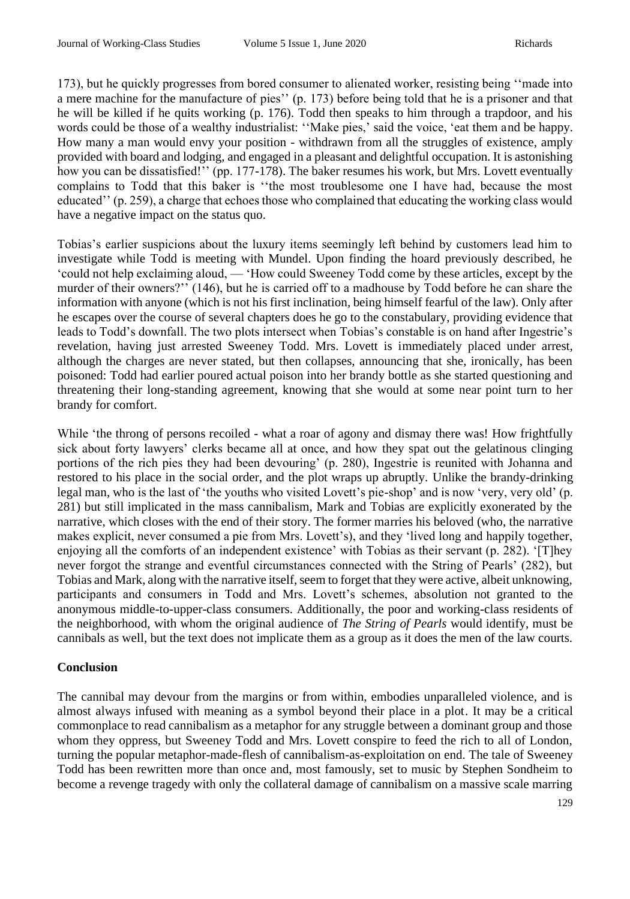173), but he quickly progresses from bored consumer to alienated worker, resisting being ''made into a mere machine for the manufacture of pies'' (p. 173) before being told that he is a prisoner and that he will be killed if he quits working (p. 176). Todd then speaks to him through a trapdoor, and his words could be those of a wealthy industrialist: ''Make pies,' said the voice, 'eat them and be happy. How many a man would envy your position - withdrawn from all the struggles of existence, amply provided with board and lodging, and engaged in a pleasant and delightful occupation. It is astonishing how you can be dissatisfied!" (pp. 177-178). The baker resumes his work, but Mrs. Lovett eventually complains to Todd that this baker is ''the most troublesome one I have had, because the most educated'' (p. 259), a charge that echoes those who complained that educating the working class would have a negative impact on the status quo.

Tobias's earlier suspicions about the luxury items seemingly left behind by customers lead him to investigate while Todd is meeting with Mundel. Upon finding the hoard previously described, he 'could not help exclaiming aloud, — 'How could Sweeney Todd come by these articles, except by the murder of their owners?" (146), but he is carried off to a madhouse by Todd before he can share the information with anyone (which is not his first inclination, being himself fearful of the law). Only after he escapes over the course of several chapters does he go to the constabulary, providing evidence that leads to Todd's downfall. The two plots intersect when Tobias's constable is on hand after Ingestrie's revelation, having just arrested Sweeney Todd. Mrs. Lovett is immediately placed under arrest, although the charges are never stated, but then collapses, announcing that she, ironically, has been poisoned: Todd had earlier poured actual poison into her brandy bottle as she started questioning and threatening their long-standing agreement, knowing that she would at some near point turn to her brandy for comfort.

While 'the throng of persons recoiled - what a roar of agony and dismay there was! How frightfully sick about forty lawyers' clerks became all at once, and how they spat out the gelatinous clinging portions of the rich pies they had been devouring' (p. 280), Ingestrie is reunited with Johanna and restored to his place in the social order, and the plot wraps up abruptly. Unlike the brandy-drinking legal man, who is the last of 'the youths who visited Lovett's pie-shop' and is now 'very, very old' (p. 281) but still implicated in the mass cannibalism, Mark and Tobias are explicitly exonerated by the narrative, which closes with the end of their story. The former marries his beloved (who, the narrative makes explicit, never consumed a pie from Mrs. Lovett's), and they 'lived long and happily together, enjoying all the comforts of an independent existence' with Tobias as their servant (p. 282). '[T]hey never forgot the strange and eventful circumstances connected with the String of Pearls' (282), but Tobias and Mark, along with the narrative itself, seem to forget that they were active, albeit unknowing, participants and consumers in Todd and Mrs. Lovett's schemes, absolution not granted to the anonymous middle-to-upper-class consumers. Additionally, the poor and working-class residents of the neighborhood, with whom the original audience of *The String of Pearls* would identify, must be cannibals as well, but the text does not implicate them as a group as it does the men of the law courts.

### **Conclusion**

The cannibal may devour from the margins or from within, embodies unparalleled violence, and is almost always infused with meaning as a symbol beyond their place in a plot. It may be a critical commonplace to read cannibalism as a metaphor for any struggle between a dominant group and those whom they oppress, but Sweeney Todd and Mrs. Lovett conspire to feed the rich to all of London, turning the popular metaphor-made-flesh of cannibalism-as-exploitation on end. The tale of Sweeney Todd has been rewritten more than once and, most famously, set to music by Stephen Sondheim to become a revenge tragedy with only the collateral damage of cannibalism on a massive scale marring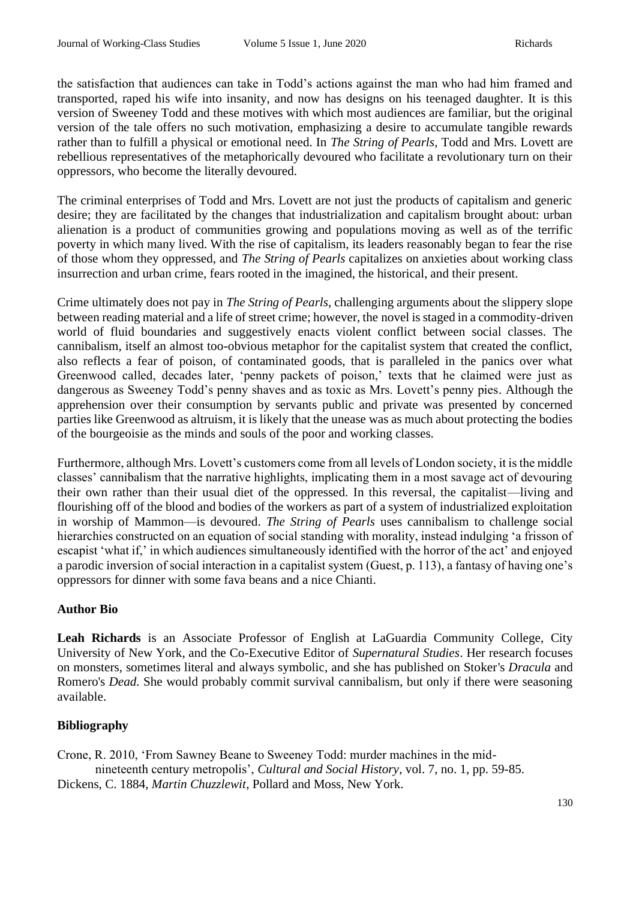the satisfaction that audiences can take in Todd's actions against the man who had him framed and transported, raped his wife into insanity, and now has designs on his teenaged daughter. It is this version of Sweeney Todd and these motives with which most audiences are familiar, but the original version of the tale offers no such motivation, emphasizing a desire to accumulate tangible rewards rather than to fulfill a physical or emotional need. In *The String of Pearls*, Todd and Mrs. Lovett are rebellious representatives of the metaphorically devoured who facilitate a revolutionary turn on their oppressors, who become the literally devoured.

The criminal enterprises of Todd and Mrs. Lovett are not just the products of capitalism and generic desire; they are facilitated by the changes that industrialization and capitalism brought about: urban alienation is a product of communities growing and populations moving as well as of the terrific poverty in which many lived. With the rise of capitalism, its leaders reasonably began to fear the rise of those whom they oppressed, and *The String of Pearls* capitalizes on anxieties about working class insurrection and urban crime, fears rooted in the imagined, the historical, and their present.

Crime ultimately does not pay in *The String of Pearls*, challenging arguments about the slippery slope between reading material and a life of street crime; however, the novel is staged in a commodity-driven world of fluid boundaries and suggestively enacts violent conflict between social classes. The cannibalism, itself an almost too-obvious metaphor for the capitalist system that created the conflict, also reflects a fear of poison, of contaminated goods, that is paralleled in the panics over what Greenwood called, decades later, 'penny packets of poison,' texts that he claimed were just as dangerous as Sweeney Todd's penny shaves and as toxic as Mrs. Lovett's penny pies. Although the apprehension over their consumption by servants public and private was presented by concerned parties like Greenwood as altruism, it is likely that the unease was as much about protecting the bodies of the bourgeoisie as the minds and souls of the poor and working classes.

Furthermore, although Mrs. Lovett's customers come from all levels of London society, it is the middle classes' cannibalism that the narrative highlights, implicating them in a most savage act of devouring their own rather than their usual diet of the oppressed. In this reversal, the capitalist—living and flourishing off of the blood and bodies of the workers as part of a system of industrialized exploitation in worship of Mammon—is devoured. *The String of Pearls* uses cannibalism to challenge social hierarchies constructed on an equation of social standing with morality, instead indulging 'a frisson of escapist 'what if,' in which audiences simultaneously identified with the horror of the act' and enjoyed a parodic inversion of social interaction in a capitalist system (Guest, p. 113), a fantasy of having one's oppressors for dinner with some fava beans and a nice Chianti.

### **Author Bio**

**Leah Richards** is an Associate Professor of English at LaGuardia Community College, City University of New York, and the Co-Executive Editor of *Supernatural Studies*. Her research focuses on monsters, sometimes literal and always symbolic, and she has published on Stoker's *Dracula* and Romero's *Dead.* She would probably commit survival cannibalism, but only if there were seasoning available.

### **Bibliography**

Crone, R. 2010, 'From Sawney Beane to Sweeney Todd: murder machines in the midnineteenth century metropolis', *Cultural and Social History*, vol. 7, no. 1, pp. 59-85. Dickens, C. 1884, *Martin Chuzzlewit*, Pollard and Moss, New York.